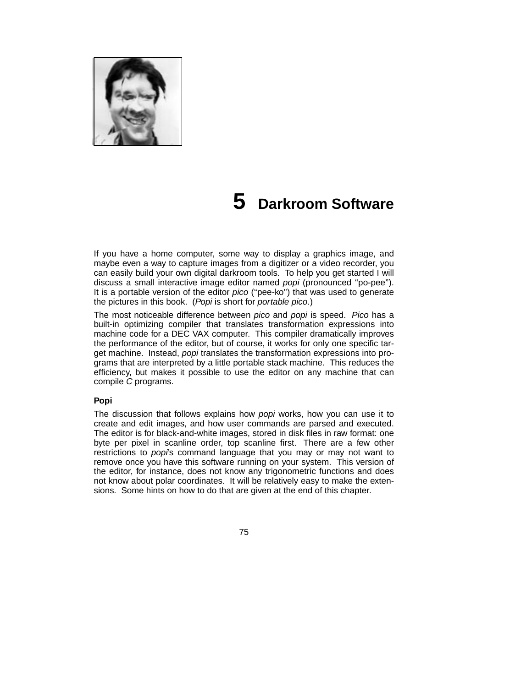

# **5 Darkroom Software**

If you have a home computer, some way to display a graphics image, and maybe even a way to capture images from a digitizer or a video recorder, you can easily build your own digital darkroom tools. To help you get started I will discuss a small interactive image editor named popi (pronounced ''po-pee''). It is a portable version of the editor pico ("pee-ko") that was used to generate the pictures in this book. (Popi is short for portable pico.)

The most noticeable difference between pico and popi is speed. Pico has a built-in optimizing compiler that translates transformation expressions into machine code for a DEC VAX computer. This compiler dramatically improves the performance of the editor, but of course, it works for only one specific target machine. Instead, popi translates the transformation expressions into programs that are interpreted by a little portable stack machine. This reduces the efficiency, but makes it possible to use the editor on any machine that can compile C programs.

## **Popi**

The discussion that follows explains how *popi* works, how you can use it to create and edit images, and how user commands are parsed and executed. The editor is for black-and-white images, stored in disk files in raw format: one byte per pixel in scanline order, top scanline first. There are a few other restrictions to popi's command language that you may or may not want to remove once you have this software running on your system. This version of the editor, for instance, does not know any trigonometric functions and does not know about polar coordinates. It will be relatively easy to make the extensions. Some hints on how to do that are given at the end of this chapter.

75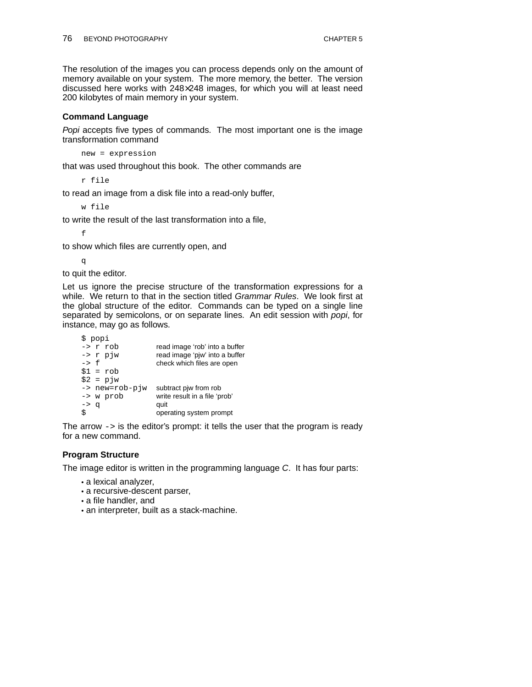The resolution of the images you can process depends only on the amount of memory available on your system. The more memory, the better. The version discussed here works with 248×248 images, for which you will at least need 200 kilobytes of main memory in your system.

## **Command Language**

Popi accepts five types of commands. The most important one is the image transformation command

```
new = expression
```
that was used throughout this book. The other commands are

r file

to read an image from a disk file into a read-only buffer,

w file

to write the result of the last transformation into a file,

f

to show which files are currently open, and

q

to quit the editor.

Let us ignore the precise structure of the transformation expressions for a while. We return to that in the section titled Grammar Rules. We look first at the global structure of the editor. Commands can be typed on a single line separated by semicolons, or on separate lines. An edit session with popi, for instance, may go as follows.

| \$ popi             |                                |
|---------------------|--------------------------------|
| -> r rob            | read image 'rob' into a buffer |
| $\rightarrow$ r piw | read image 'pjw' into a buffer |
| $\Rightarrow$ f     | check which files are open     |
| $$1 = rob$          |                                |
| $$2 = pi$           |                                |
| -> new=rob-pjw      | subtract pjw from rob          |
| -> w prob           | write result in a file 'prob'  |
| $\rightarrow$ q     | quit                           |
| \$                  | operating system prompt        |

The arrow -> is the editor's prompt: it tells the user that the program is ready for a new command.

## **Program Structure**

The image editor is written in the programming language C. It has four parts:

- a lexical analyzer,
- a recursive-descent parser,
- a file handler, and
- an interpreter, built as a stack-machine.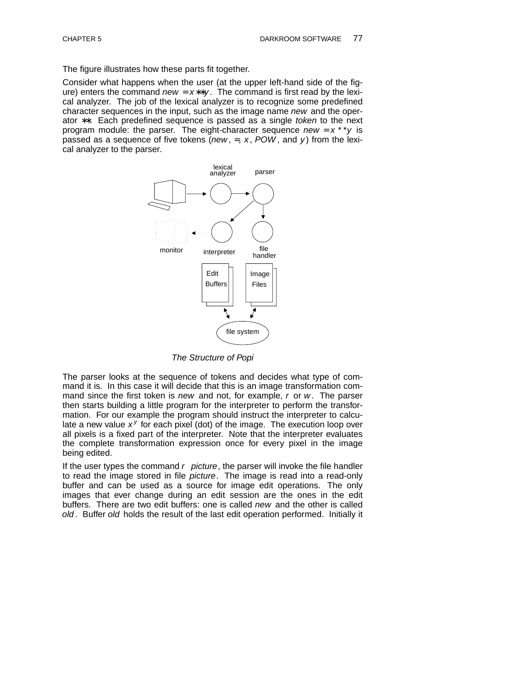The figure illustrates how these parts fit together.

Consider what happens when the user (at the upper left-hand side of the figure) enters the command  $new = x**y$ . The command is first read by the lexical analyzer. The job of the lexical analyzer is to recognize some predefined character sequences in the input, such as the image name new and the operator ∗∗. Each predefined sequence is passed as a single token to the next program module: the parser. The eight-character sequence  $new = x * *y$  is passed as a sequence of five tokens (new,  $=$ ,  $x$ ,  $POW$ , and  $y$ ) from the lexical analyzer to the parser.



The Structure of Popi

The parser looks at the sequence of tokens and decides what type of command it is. In this case it will decide that this is an image transformation command since the first token is new and not, for example, r or w. The parser then starts building a little program for the interpreter to perform the transformation. For our example the program should instruct the interpreter to calculate a new value  $x^y$  for each pixel (dot) of the image. The execution loop over all pixels is a fixed part of the interpreter. Note that the interpreter evaluates the complete transformation expression once for every pixel in the image being edited.

If the user types the command  $r$  picture, the parser will invoke the file handler to read the image stored in file picture. The image is read into a read-only buffer and can be used as a source for image edit operations. The only images that ever change during an edit session are the ones in the edit buffers. There are two edit buffers: one is called new and the other is called old. Buffer old holds the result of the last edit operation performed. Initially it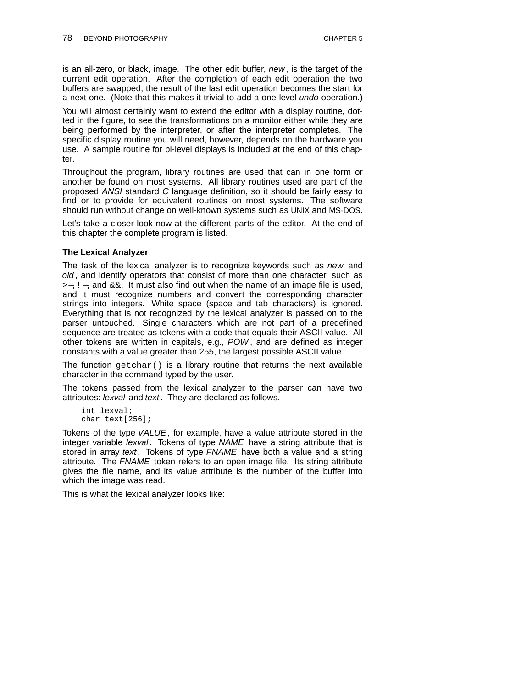is an all-zero, or black, image. The other edit buffer, new , is the target of the current edit operation. After the completion of each edit operation the two buffers are swapped; the result of the last edit operation becomes the start for a next one. (Note that this makes it trivial to add a one-level undo operation.)

You will almost certainly want to extend the editor with a display routine, dotted in the figure, to see the transformations on a monitor either while they are being perfor med by the interpreter, or after the interpreter completes. The specific display routine you will need, however, depends on the hardware you use. A sample routine for bi-level displays is included at the end of this chapter.

Throughout the program, library routines are used that can in one form or another be found on most systems. All library routines used are part of the proposed ANSI standard C language definition, so it should be fairly easy to find or to provide for equivalent routines on most systems. The software should run without change on well-known systems such as UNIX and MS-DOS.

Let's take a closer look now at the different parts of the editor. At the end of this chapter the complete program is listed.

## **The Lexical Analyzer**

The task of the lexical analyzer is to recognize keywords such as new and old, and identify operators that consist of more than one character, such as  $>=$ ,  $!=$ , and &&. It must also find out when the name of an image file is used, and it must recognize numbers and convert the corresponding character strings into integers. White space (space and tab characters) is ignored. Ever ything that is not recognized by the lexical analyzer is passed on to the parser untouched. Single characters which are not part of a predefined sequence are treated as tokens with a code that equals their ASCII value. All other tokens are written in capitals, e.g., POW , and are defined as integer constants with a value greater than 255, the largest possible ASCII value.

The function  $getchar()$  is a library routine that returns the next available character in the command typed by the user.

The tokens passed from the lexical analyzer to the parser can have two attributes: lexval and text. They are declared as follows.

```
int lexval;
char text[256];
```
Tokens of the type VALUE, for example, have a value attribute stored in the integer variable lexval. Tokens of type NAME have a string attribute that is stored in array text. Tokens of type FNAME have both a value and a string attribute. The FNAME token refers to an open image file. Its string attribute gives the file name, and its value attribute is the number of the buffer into which the image was read.

This is what the lexical analyzer looks like: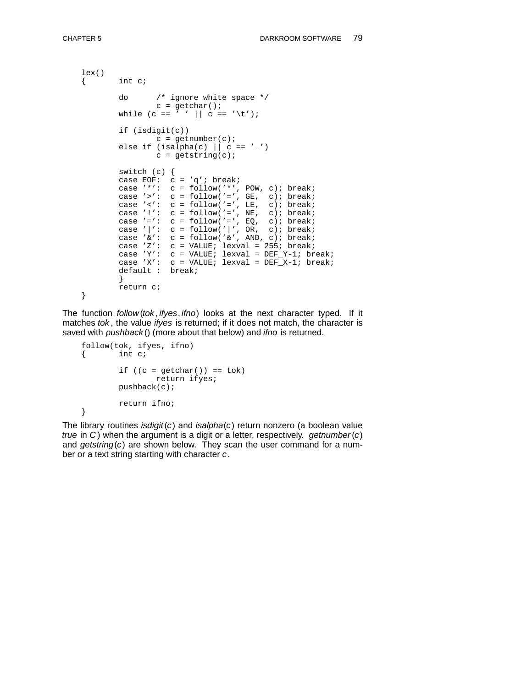```
lex()
{ int c;
        do /* ignore white space */
                 c = getchar()while (c == ' ' || c == '\t');
        if (isdigit(c))
                c = getnumber(c);else if (isaIpha(c) || c == '-'')c = qetsstring(c);switch (c) {
        case EOF: c = 'q'; break;
        case '*': c = follow('*', POW, c); break;
        case '>': c = follow('=', GE, c); break;case 's': c = follow('=', LE, c); break;case '!': c = follow('=', NE, c); break;case '=': c = \text{follow}( ' = ', EQ, c) ; \text{ break};case '|': c = follow('|', OR, c); break;case '&': c = follow('&', AND, c); break;case 'Z': c = \text{VALUE}; lexval = 255; break;
        case 'Y': c = \text{VALUE}; lexval = DEF_Y-1; break;
        case 'X': c = \text{VALUE: } \text{lexval} = \text{DEF\_X-1: } \text{break};default : break;
        }
        return c;
```
}

The function *follow* (tok, *ifyes*, *ifno*) looks at the next character typed. If it matches tok, the value *ifyes* is returned; if it does not match, the character is saved with *pushback*() (more about that below) and *ifno* is returned.

```
follow(tok, ifyes, ifno)
{ int c;
       if ((c = getchar()) == tok)return ifyes;
       pushback(c);
       return ifno;
}
```
The library routines *isdigit(c)* and *isalpha(c)* return nonzero (a boolean value true in  $C$ ) when the argument is a digit or a letter, respectively. getnumber(c) and  $g$ etstring(c) are shown below. They scan the user command for a number or a text string starting with character c.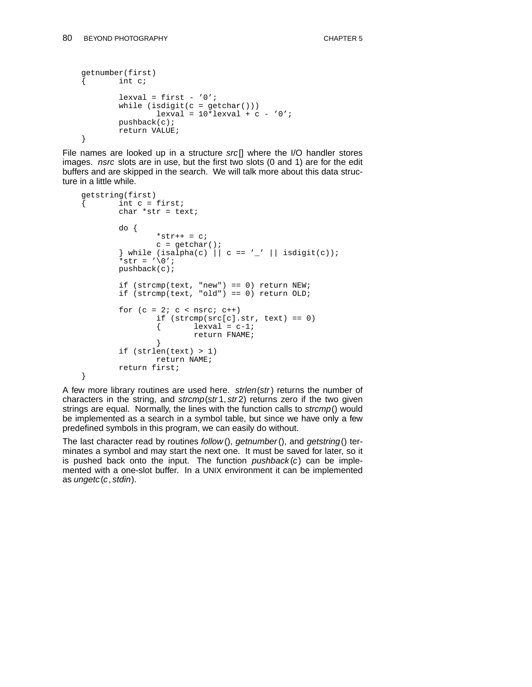```
getnumber(first)
       int c;
        lexval = first - '0';
        while (isdigit(c = getchar())lexval = 10*lexval + c - '0';
        pushback(c);
       return VALUE;
}
```
File names are looked up in a structure src[] where the I/O handler stores images. nsrc slots are in use, but the first two slots (0 and 1) are for the edit buffers and are skipped in the search. We will talk more about this data structure in a little while.

```
getstring(first)
\{ int c = first;char *str = text;
        do {
                *str++ = cic = getchar()} while (isalpha(c) || c == '-' || isdigit(c));*str = '0';pushback(c);
        if (strcmp(text, "new") == 0) return NEW;
        if (strcmp(text, "old") == 0) return OLD;
        for (c = 2; c < nsrc; c++)if (strcmp(src[c].str, text) == 0){\qquad \qquad lexval = c-1;
                       return FNAME;
                }
        if (strlen(text) > 1)
               return NAME;
        return first;
}
```
A few more library routines are used here.  $strlen(str)$  returns the number of characters in the string, and  $stromp(str1, str2)$  returns zero if the two given strings are equal. Normally, the lines with the function calls to strcmp() would be implemented as a search in a symbol table, but since we have only a few predefined symbols in this program, we can easily do without.

The last character read by routines follow(), getnumber(), and getstring() terminates a symbol and may start the next one. It must be saved for later, so it is pushed back onto the input. The function  $pushback(c)$  can be implemented with a one-slot buffer. In a UNIX environment it can be implemented as ungetc(c, stdin).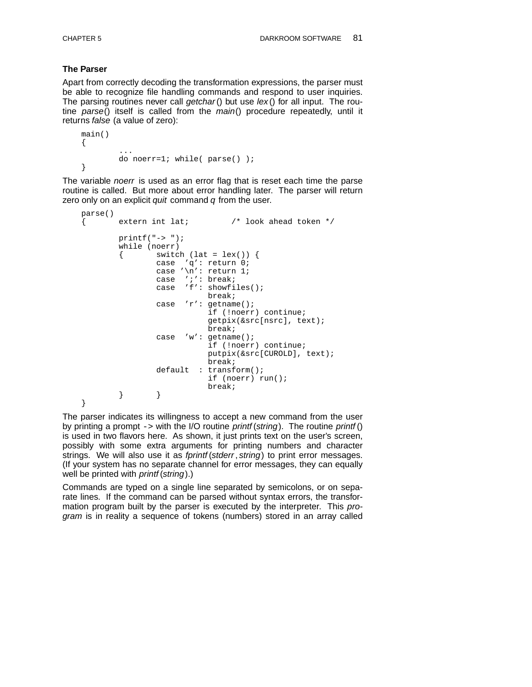## **The Parser**

Apart from correctly decoding the transformation expressions, the parser must be able to recognize file handling commands and respond to user inquiries. The parsing routines never call getchar() but use  $lex()$  for all input. The routine  $parse()$  itself is called from the  $main()$  procedure repeatedly, until it returns *false* (a value of zero):

```
main()
{
         ...
        do noerr=1; while( parse() );
}
```
The variable noerr is used as an error flag that is reset each time the parse routine is called. But more about error handling later. The parser will return zero only on an explicit quit command  $q$  from the user.

```
parse()
{ extern int lat; /* look ahead token */
       print(f'-> ");while (noerr)
               switch (lat = lex()) {
               case 'q': return 0;
               case '\sqrt{n'}: return 1;
               case ';': break;
               case 'f': showfiles();
                         break;
               case 'r': getname();
                          if (!noerr) continue;
                          getpix(&src[nsrc], text);
                          break;
               case 'w': getname();
                          if (!noerr) continue;
                          putpix(&src[CUROLD], text);
                          break;
               default : transform();
                          if (noerr) run();
                          break;
        } }
}
```
The parser indicates its willingness to accept a new command from the user by printing a prompt  $\rightarrow$  with the I/O routine *printf* (*string*). The routine *printf* () is used in two flavors here. As shown, it just prints text on the user's screen, possibly with some extra arguments for printing numbers and character strings. We will also use it as *fprintf* (*stderr*, *string*) to print error messages. (If your system has no separate channel for error messages, they can equally well be printed with *printf* (*string*).)

Commands are typed on a single line separated by semicolons, or on separate lines. If the command can be parsed without syntax errors, the transformation program built by the parser is executed by the interpreter. This program is in reality a sequence of tokens (numbers) stored in an array called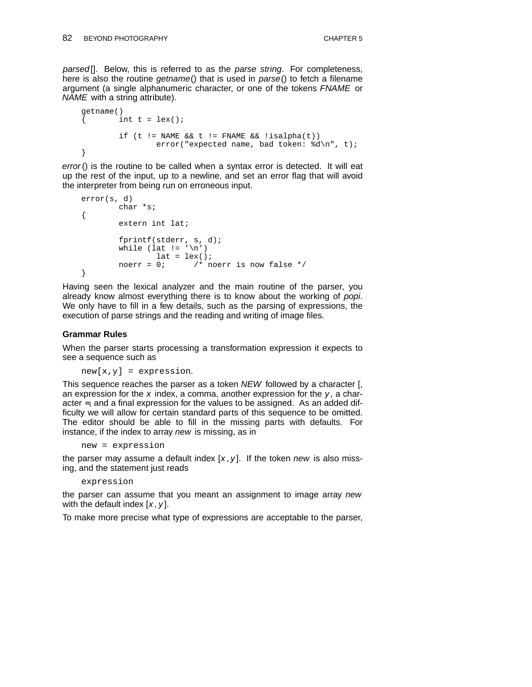parsed<sup>[]</sup>. Below, this is referred to as the parse string. For completeness, here is also the routine *getname*() that is used in *parse*() to fetch a filename argument (a single alphanumeric character, or one of the tokens FNAME or NAME with a string attribute).

```
getname()
           int t = \text{lex}();
           if (t \mid = \text{NAME } \&\& t \mid = \text{FNAME } \&\& \text{ 1} \& \text{ 2}error("expected name, bad token: d\n\cdot, t);
}
```
error() is the routine to be called when a syntax error is detected. It will eat up the rest of the input, up to a newline, and set an error flag that will avoid the interpreter from being run on erroneous input.

```
error(s, d)
       char *s;
{
        extern int lat;
        fprintf(stderr, s, d);
        while (lat != ' \n\times')lat = lex();
        noerr = 0; /* noerr is now false */}
```
Having seen the lexical analyzer and the main routine of the parser, you already know almost everything there is to know about the working of popi. We only have to fill in a few details, such as the parsing of expressions, the execution of parse strings and the reading and writing of image files.

#### **Grammar Rules**

When the parser starts processing a transformation expression it expects to see a sequence such as

```
new[x,y] = expression.
```
This sequence reaches the parser as a token NEW followed by a character [, an expression for the x index, a comma, another expression for the  $\nu$ , a character =, and a final expression for the values to be assigned. As an added difficulty we will allow for certain standard parts of this sequence to be omitted. The editor should be able to fill in the missing parts with defaults. For instance, if the index to array new is missing, as in

```
new = expression
```
the parser may assume a default index  $[x, y]$ . If the token new is also missing, and the statement just reads

expression

the parser can assume that you meant an assignment to image array new with the default index  $[x, y]$ .

To make more precise what type of expressions are acceptable to the parser,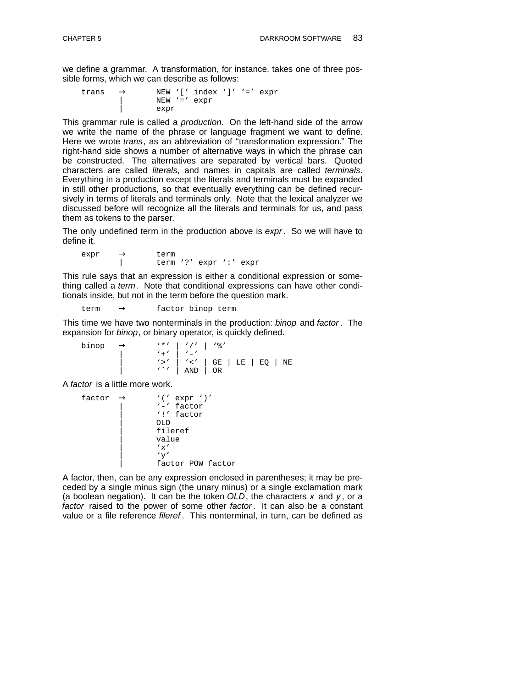we define a grammar. A transformation, for instance, takes one of three possible forms, which we can describe as follows:

trans  $\rightarrow$  NEW '[' index ']' '=' expr  $NEW '=' expres$ expr

This grammar rule is called a *production*. On the left-hand side of the arrow we write the name of the phrase or language fragment we want to define. Here we wrote trans, as an abbreviation of "transformation expression." The right-hand side shows a number of alternative ways in which the phrase can be constructed. The alternatives are separated by vertical bars. Quoted characters are called *literals*, and names in capitals are called *terminals*. Everything in a production except the literals and terminals must be expanded in still other productions, so that eventually everything can be defined recursively in terms of literals and terminals only. Note that the lexical analyzer we discussed before will recognize all the literals and terminals for us, and pass them as tokens to the parser.

The only undefined term in the production above is expr. So we will have to define it.

 $\begin{array}{ccc} expr & \rightarrow & \text{term} \\ | & \text{term} \end{array}$ | term '?' expr ':' expr

This rule says that an expression is either a conditional expression or something called a term. Note that conditional expressions can have other conditionals inside, but not in the term before the question mark.

term → factor binop term

This time we have two nonterminals in the production: *binop* and factor. The expansion for *binop*, or binary operator, is quickly defined.

binop  $\rightarrow$  '\*'  $\vert$  '/'  $\vert$  '%'  $\left| \begin{array}{c} y_{+j} \\ y_{-j} \\ y_{-j} \end{array} \right| = \left| \begin{array}{c} y_{-j} \\ y_{-j} \\ y_{-j} \end{array} \right|$ | '>' | '<' | GE | LE | EQ | NE  $|$  AND

A factor is a little more work.

```
factor \rightarrow \text{'}('expr')'| '-' factor
                    | '!' factor
                    \cap T\capfileref
                    value
                     ' x'
                    | 'y'
                    factor POW factor
```
A factor, then, can be any expression enclosed in parentheses; it may be preceded by a single minus sign (the unary minus) or a single exclamation mark (a boolean negation). It can be the token OLD, the characters  $x$  and  $y$ , or a factor raised to the power of some other factor. It can also be a constant value or a file reference *fileref*. This nonterminal, in turn, can be defined as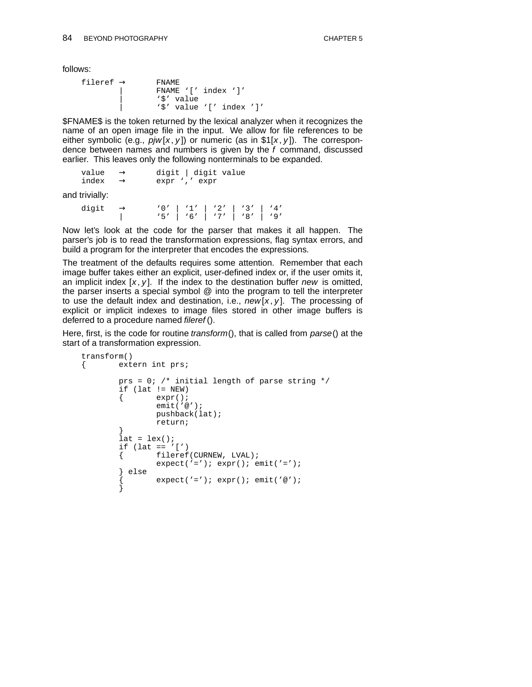follows:

 $fileref \rightarrow$  FNAME | FNAME '[' index ']' | '\$' value | '\$' value '[' index ']'

\$FNAME\$ is the token returned by the lexical analyzer when it recognizes the name of an open image file in the input. We allow for file references to be either symbolic (e.g.,  $p_j w[x, y]$ ) or numeric (as in \$1[x, y]). The correspondence between names and numbers is given by the f command, discussed earlier. This leaves only the following nonterminals to be expanded.

| value $\rightarrow$ | digit   digit value |
|---------------------|---------------------|
| index $\rightarrow$ | expr ',' expr       |

and trivially:

| digit $\rightarrow$ |  | $'0'$   '1'   '2'   '3'   '4' |  |
|---------------------|--|-------------------------------|--|
|                     |  | '5'   '6'   '7'   '8'   '9'   |  |

Now let's look at the code for the parser that makes it all happen. The parser's job is to read the transformation expressions, flag syntax errors, and build a program for the interpreter that encodes the expressions.

The treatment of the defaults requires some attention. Remember that each image buffer takes either an explicit, user-defined index or, if the user omits it, an implicit index  $[x, y]$ . If the index to the destination buffer new is omitted, the parser inserts a special symbol @ into the program to tell the interpreter to use the default index and destination, i.e.,  $new[x, y]$ . The processing of explicit or implicit indexes to image files stored in other image buffers is deferred to a procedure named fileref ().

Here, first, is the code for routine transform(), that is called from parse() at the start of a transformation expression.

```
transform()
{ extern int prs;
       prs = 0; /* initial length of parse string */
       if (lat != NEW)
        { expr();
               emit('@');
               pushback(lat);
               return;
        }
        lat = lex();
       if (lat == '[''){ fileref(CURNEW, LVAL);
               expect('='); <i>expr()</i>; <i>emit('=')</i>;else
                expect('='); expr(); emit('@');}
```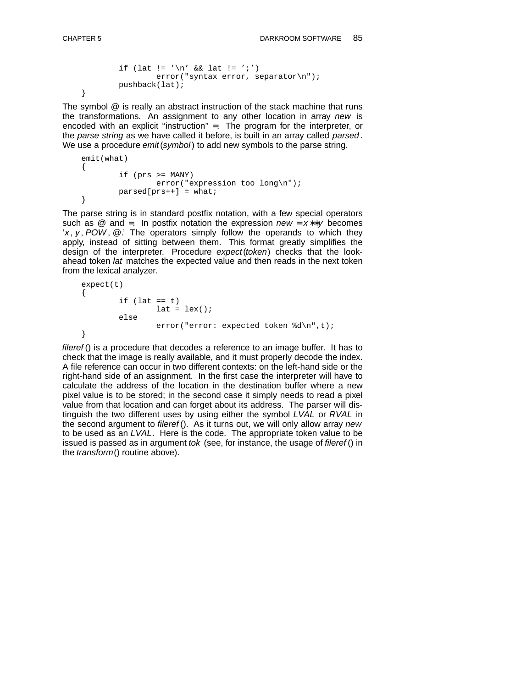```
if (lat != '\n' && lat != ';')
        error("syntax error, separator\n");
pushback(lat);
```
}

The symbol @ is really an abstract instruction of the stack machine that runs the transformations. An assignment to any other location in array new is encoded with an explicit "instruction"  $=$ . The program for the interpreter, or the parse string as we have called it before, is built in an array called parsed. We use a procedure *emit(symbol)* to add new symbols to the parse string.

```
emit(what)
{
        if (prs >= MANY)
               error("expression too long\n");
        parsed[prs++] = what;}
```
The parse string is in standard postfix notation, with a few special operators such as @ and =. In postfix notation the expression  $new = x**y$  becomes 'x, y,  $POW$ ,  $@$ .' The operators simply follow the operands to which they apply, instead of sitting between them. This format greatly simplifies the design of the interpreter. Procedure expect(token) checks that the lookahead token *lat* matches the expected value and then reads in the next token from the lexical analyzer.

```
expect(t)
{
        if (lat == t)lat = lex();
        else
                error("error: expected token %d\n",t);
}
```
fileref () is a procedure that decodes a reference to an image buffer. It has to check that the image is really available, and it must properly decode the index. A file reference can occur in two different contexts: on the left-hand side or the right-hand side of an assignment. In the first case the interpreter will have to calculate the address of the location in the destination buffer where a new pixel value is to be stored; in the second case it simply needs to read a pixel value from that location and can forget about its address. The parser will distinguish the two different uses by using either the symbol LVAL or RVAL in the second argument to fileref (). As it turns out, we will only allow array new to be used as an LVAL. Here is the code. The appropriate token value to be issued is passed as in argument tok (see, for instance, the usage of fileref () in the *transform*() routine above).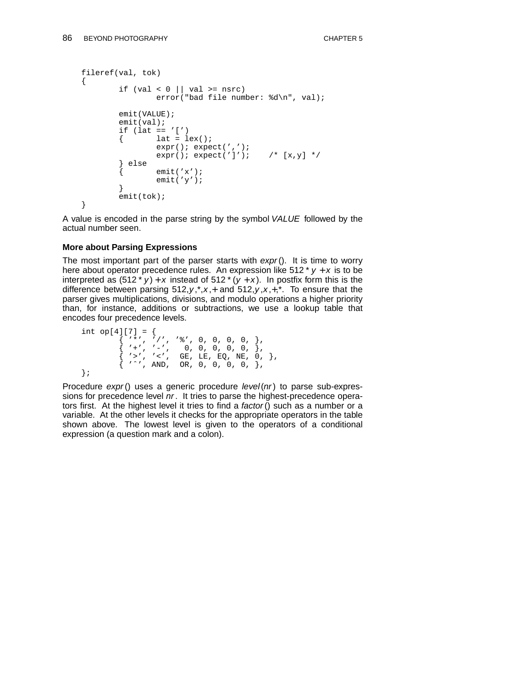```
fileref(val, tok)
{
        if \{val < 0 \mid \mid val \geq max\}error("bad file number: %d\n", val);
        emit(VALUE);
        emit(val);
        if (lat == '[''){ \det = \text{lex}();
                expr(); expect(',');
                expr(); expect(']'); /* [x,y] */} else
        { emit('x');
                emit('y');
        }
        emit(tok);
}
```
A value is encoded in the parse string by the symbol VALUE followed by the actual number seen.

## **More about Parsing Expressions**

The most important part of the parser starts with  $exp(-x)$ . It is time to worry here about operator precedence rules. An expression like 512  $*$   $y + x$  is to be interpreted as  $(512 * y) + x$  instead of  $512 * (y + x)$ . In postfix form this is the difference between parsing  $512,y, x, x$  and  $512,y, x, +, *$ . To ensure that the parser gives multiplications, divisions, and modulo operations a higher priority than, for instance, additions or subtractions, we use a lookup table that encodes four precedence levels.

```
int op[4][7] = {\{ '*', '/', '%', 0, 0, 0, 0, },
         \{ '+', '-', 0, 0, 0, 0, 0, },
         \{ '>'', ''<', G E, LE, EQ, NE, 0, \},\{ '`', \text{ AND}, \text{ OR}, 0, 0, 0, 0, \}};
```
Procedure  $expr()$  uses a generic procedure  $level(nr)$  to parse sub-expressions for precedence level nr. It tries to parse the highest-precedence operators first. At the highest level it tries to find a factor() such as a number or a variable. At the other levels it checks for the appropriate operators in the table shown above. The lowest level is given to the operators of a conditional expression (a question mark and a colon).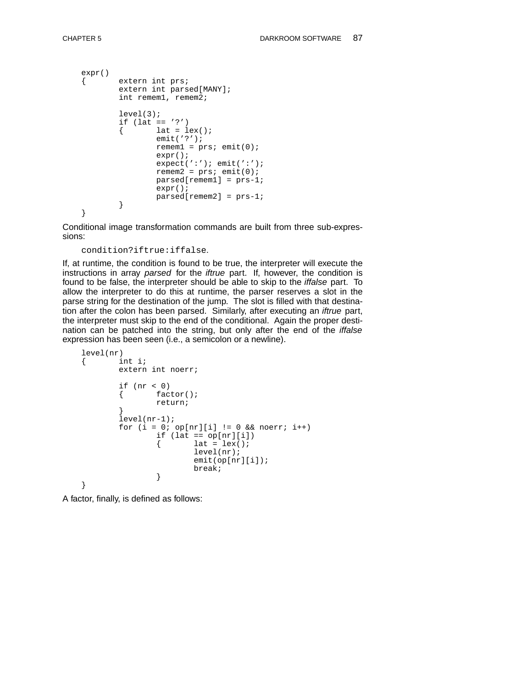```
expr()
{ extern int prs;
        extern int parsed[MANY];
        int remem1, remem2;
        level(3);
        if (lat == '?'){ \quad lat = \text{lex}();
                 emit('?');
                 remem1 = prs; emit(0);expr();
                 \text{expect}(':'); \text{ emit}(':');remem2 = prs: emit(0);parsed[remem1] = prs-1;
                 expr();
                 parsed[remem2] = prs-1;
        }
}
```
Conditional image transformation commands are built from three sub-expressions:

```
condition?iftrue:iffalse.
```
If, at runtime, the condition is found to be true, the interpreter will execute the instructions in array parsed for the *iftrue* part. If, however, the condition is found to be false, the interpreter should be able to skip to the *iffalse* part. To allow the interpreter to do this at runtime, the parser reserves a slot in the parse string for the destination of the jump. The slot is filled with that destination after the colon has been parsed. Similarly, after executing an *iftrue* part, the interpreter must skip to the end of the conditional. Again the proper destination can be patched into the string, but only after the end of the iffalse expression has been seen (i.e., a semicolon or a newline).

```
level(nr)<br>{<br>i
         int i;
         extern int noerr;
         if (nr < 0)<br>{ fac
                   factor();
                   return;
          }
          level(nr-1);
          for (i = 0; op[nr][i] := 0 && noerr; i++)if (lat == op[nr][i])<br>{ lat = lex();
                             lat = lex();
                             level(nr);
                             emit(op[nr][i]);
                             break;
                    }
}
```
A factor, finally, is defined as follows: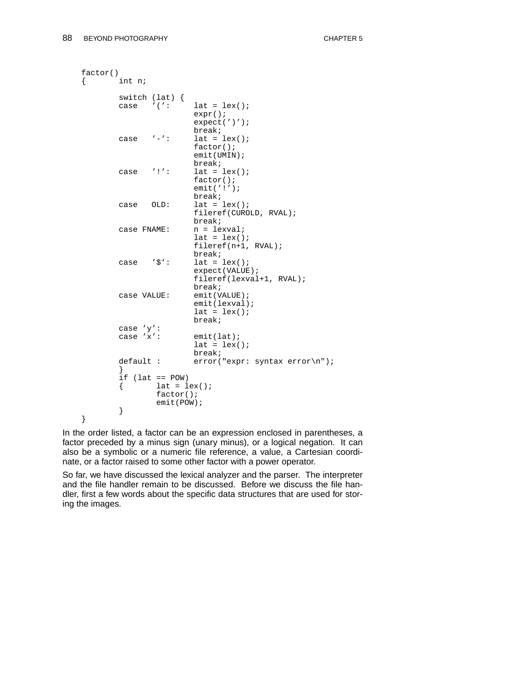```
factor()
{ int n;
        switch (lat) {<br>case '(':lat = lex();
                         expr();
                         expect(')');
                        break;
        case \prime - \prime: lat = lex();
                        factor();
                         emit(UMIN);
                        break;
        case '!': lat = lex();
                        factor();
                         emit('!');
                        break;
        case OLD: lat = lex();
                        fileref(CUROLD, RVAL);
                        break;
        case FNAME: n = lexval;
                         lat = lex();
                        fileref(n+1, RVAL);
                        break;
        case '\hat{S}': lat = lex();
                         expect(VALUE);
                         fileref(lexval+1, RVAL);
                        break;
        case VALUE: emit(VALUE);
                         emit(lexval);
                         lat = lex();
                        break;
        case 'y':<br>case 'x':
                        emit(lat);
                        lat = lex();
                        break;
        default : error("expr: syntax error\n");
        }
        if (lat == POW){ \int lat = \text{lex}();
                factor();
                emit(POW);
        }
}
```
In the order listed, a factor can be an expression enclosed in parentheses, a factor preceded by a minus sign (unary minus), or a logical negation. It can also be a symbolic or a numeric file reference, a value, a Cartesian coordinate, or a factor raised to some other factor with a power operator.

So far, we have discussed the lexical analyzer and the parser. The interpreter and the file handler remain to be discussed. Before we discuss the file handler, first a few words about the specific data structures that are used for storing the images.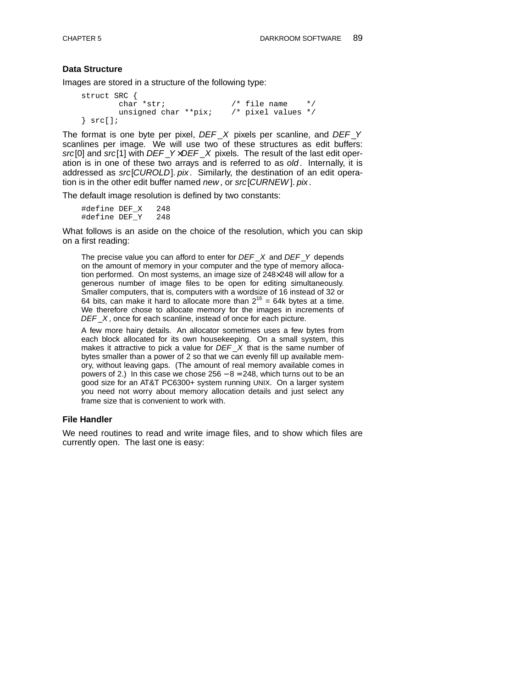#### **Data Structure**

Images are stored in a structure of the following type:

```
struct SRC {<br>char *str;
                                /* file name */
       unsigned char **pix; /* pixel values */
} src[];
```
The format is one byte per pixel,  $DEF \times$  pixels per scanline, and  $DEF \ Y$ scanlines per image. We will use two of these structures as edit buffers:  $src[0]$  and  $src[1]$  with  $DEF_Y \times DEF_X$  pixels. The result of the last edit operation is in one of these two arrays and is referred to as old. Internally, it is addressed as src[CUROLD]. pix. Similarly, the destination of an edit operation is in the other edit buffer named new, or src[CURNEW]. pix.

The default image resolution is defined by two constants:

#define DEF\_X 248 #define DEF\_Y 248

What follows is an aside on the choice of the resolution, which you can skip on a first reading:

The precise value you can afford to enter for  $DEF\_X$  and  $DEF\_Y$  depends on the amount of memory in your computer and the type of memory allocation performed. On most systems, an image size of 248×248 will allow for a generous number of image files to be open for editing simultaneously. Smaller computers, that is, computers with a wordsize of 16 instead of 32 or 64 bits, can make it hard to allocate more than  $2^{16}$  = 64k bytes at a time. We therefore chose to allocate memory for the images in increments of DEF\_X, once for each scanline, instead of once for each picture.

A few more hairy details. An allocator sometimes uses a few bytes from each block allocated for its own housekeeping. On a small system, this makes it attractive to pick a value for  $DEF_X$  that is the same number of bytes smaller than a power of 2 so that we can evenly fill up available memory, without leaving gaps. (The amount of real memory available comes in powers of 2.) In this case we chose  $256 - 8 = 248$ , which turns out to be an good size for an AT&T PC6300+ system running UNIX. On a larger system you need not worry about memory allocation details and just select any frame size that is convenient to work with.

#### **File Handler**

We need routines to read and write image files, and to show which files are currently open. The last one is easy: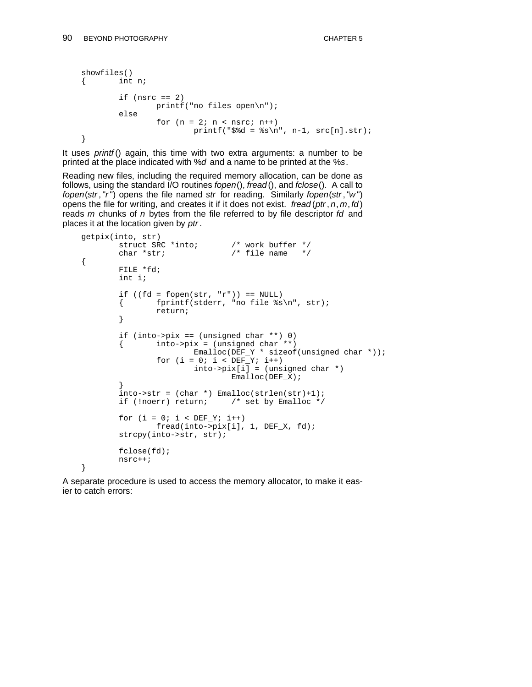```
showfiles()
{ int n;
       if (nsrc == 2)printf("no files open\n");
       else
               for (n = 2; n < nsrc; n++)printf("$d = $s \n~n", n-1, src[n].str;
}
```
It uses *printf* () again, this time with two extra arguments: a number to be printed at the place indicated with %d and a name to be printed at the %s.

Reading new files, including the required memory allocation, can be done as follows, using the standard I/O routines fopen(), fread(), and fclose(). A call to fopen(str, "r") opens the file named str for reading. Similarly fopen(str, "w") opens the file for writing, and creates it if it does not exist. fread (ptr, n, m, fd) reads m chunks of n bytes from the file referred to by file descriptor fd and places it at the location given by ptr.

```
getpix(into, str)
       struct SRC *into; <br> /* work buffer */
       char *str; /* file name */
{
       FILE *fd;
       int i;
       if ((fd = fopen(str, "r")) == NULL){ fprintf(stderr, "no file %s\n", str);
               return;
       }
       if (into->pix == (unsigned char **) 0)
       { into->pix = (unsigned char **)Emalloc(DEF_Y * sizeof(unsigned char *));
               for (i = 0; i < DEF_Y; i++)into->pix[i] = (unsigned char *)
                              Emalloc(DEF_X);
        }
       into \rightarrow str = (char * ) Emalloc(strlen(str)+1);
       if (!noerr) return; /* set by Emalloc */
       for (i = 0; i < DEF_Y; i++)fread(into->pix[i], 1, DEF_X, fd);
       strcpy(into->str, str);
       fclose(fd);
       nsrc++;
}
```
A separate procedure is used to access the memory allocator, to make it easier to catch errors: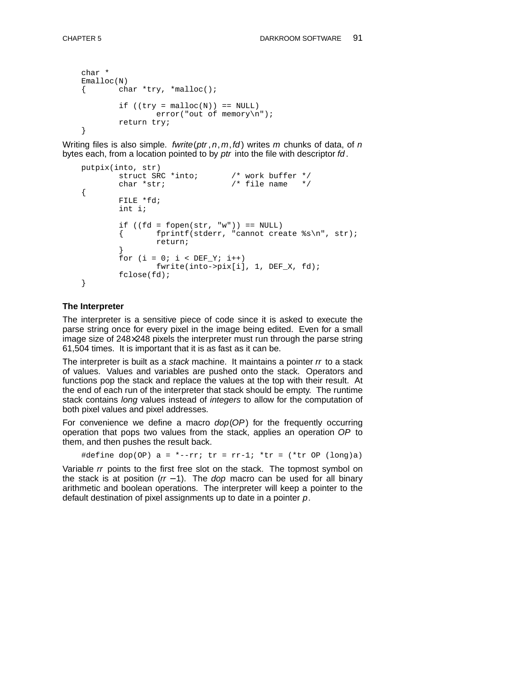```
char *
Emalloc(N)
        char *try, *malloc();
         if ((try = <math>malloc(N)) == NULL</math>)error("out of memory\n");
         return try;
}
```
Writing files is also simple. fwrite(ptr,  $n, m, fd$ ) writes m chunks of data, of n bytes each, from a location pointed to by ptr into the file with descriptor fd.

```
putpix(into, str)
       struct SRC *into; /* work buffer */
       char *str; /* file name */
{
       FILE *fd;
       int i;
       if ((fd = fopen(str, "w")) = = NULL){ fprintf(stderr, "cannot create %s\n", str);
              return;
       }
       for (i = 0; i < DEF_Y; i++)fwrite(into->pix[i], 1, DEF_X, fd);fclose(fd);
}
```
#### **The Interpreter**

The interpreter is a sensitive piece of code since it is asked to execute the parse string once for every pixel in the image being edited. Even for a small image size of 248×248 pixels the interpreter must run through the parse string 61,504 times. It is important that it is as fast as it can be.

The interpreter is built as a stack machine. It maintains a pointer rr to a stack of values. Values and variables are pushed onto the stack. Operators and functions pop the stack and replace the values at the top with their result. At the end of each run of the interpreter that stack should be empty. The runtime stack contains long values instead of integers to allow for the computation of both pixel values and pixel addresses.

For convenience we define a macro dop(OP) for the frequently occurring operation that pops two values from the stack, applies an operation OP to them, and then pushes the result back.

#define dop(OP)  $a = *-rr$ ;  $tr = rr-1$ ;  $*tr = (*tr OP (long)a)$ 

Variable rr points to the first free slot on the stack. The topmost symbol on the stack is at position  $(r - 1)$ . The dop macro can be used for all binary arithmetic and boolean operations. The interpreter will keep a pointer to the default destination of pixel assignments up to date in a pointer p.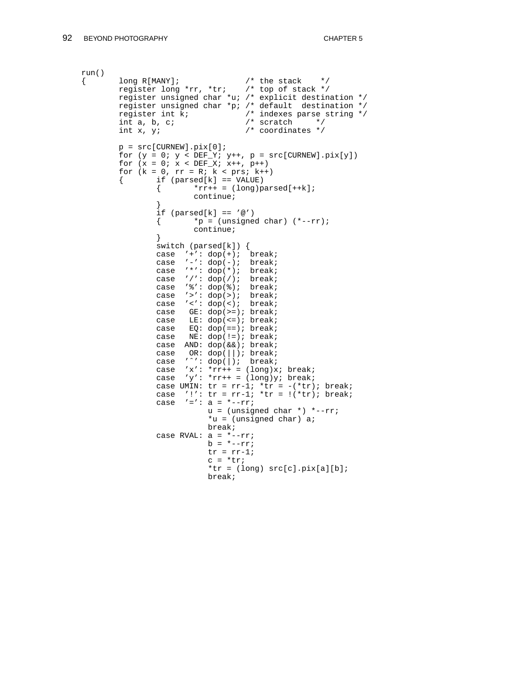```
run()
\{ long R[MANY]; \frac{1}{2} /* the stack */
       register long *rr, *tr; /* top of stack */
       register unsigned char *u; /* explicit destination */
       register unsigned char *p; /* default destination */
       register int k; /* indexes parse string */
       int a, b, c; \frac{1}{x} scratch \frac{x}{x}int x, y; \frac{1}{2} /* coordinates */
       p = src[CURNEW].pix[0];for (y = 0; y < DEF_Y; y++), p = src[CURNEW].pix[y])for (x = 0; x < DEF_X; x++)for (k = 0, rr = R; k < prs; k++)\{ if (parsed[k] == VALUE)\{ *rr++ = (long)parsed[++k];
                      continue;
               }
               if (parsed[k] == '@'){p = (unsigned char) (*--rr);}continue;
               }
               switch (parsed[k]) {
               case '+': dop(+); break;
               case '-': dop(-); break;
               case '*': dop(*); break;
               case '/': dop(/); break;
               case '%': dop(%); break;
               case '>': dop(>); break;
               case '<': dop(<); break;
               case GE: dop(>=); break;
               case LE: dop( <= ); break;
               case EQ: dop(==); break;case N\tilde{E}: dop(!=); break;
               case AND: dop(&&); break;
               case OR: dop(||); break;
               case '^': dop(|); break;
               case 'x': *rr++ = (\text{long})x; break;
               case 'y': *rr++ = (\text{long})y; break;
               case UMIN: tr = rr-1; *tr = -(*tr); break;case '!': tr = rr-1; *tr = !(*tr); break;case '=': a = *--rr;u = (unsigned char *) *--rr;
                         *u = (unsigned char) a;
                         break;
               case RVAL: a = *--rr;b = *--rr;tr = rr-1;
                         c = *tr;*tr = long) src[c].pix[a][b];
                         break;
```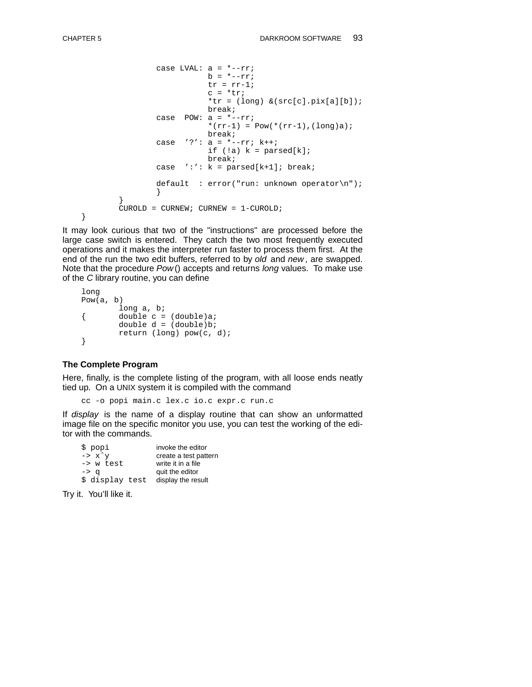```
case LVAL: a = *--rr;b = *--rr;tr = rr-1;
                          c = *tr;*tr = (long) \&(src[c].pix[a][b]);
                          break;
               case POW: a = *--rr;*(rr-1) = Pow(*(rr-1),(long)a);
                          break;
               case '?': a = *-rrr; k++;
                          if (!a) k = parsed[k];
                          break;
               case ':': k = parsed[k+1]; break;
               default : error("run: unknown operator\n");
               }
       }
       CUROLD = CURNEW; CURNEW = 1-CUROLD;
}
```
It may look curious that two of the "instructions" are processed before the large case switch is entered. They catch the two most frequently executed operations and it makes the interpreter run faster to process them first. At the end of the run the two edit buffers, referred to by old and new, are swapped. Note that the procedure Pow () accepts and returns long values. To make use of the C library routine, you can define

```
long
Pow(a, b)
       long a, b;
{ double c = (double)a;
       double d = (double)b;
       return (long) pow(c, d);
}
```
## **The Complete Program**

Here, finally, is the complete listing of the program, with all loose ends neatly tied up. On a UNIX system it is compiled with the command

cc -o popi main.c lex.c io.c expr.c run.c

If display is the name of a display routine that can show an unformatted image file on the specific monitor you use, you can test the working of the editor with the commands.

| \$ popi                     | invoke the editor     |
|-----------------------------|-----------------------|
| $\rightarrow$ $x^{\prime}y$ | create a test pattern |
| -> w test                   | write it in a file    |
| $\rightarrow$ $\alpha$      | quit the editor       |
| \$ display test             | display the result    |

Try it. You'll like it.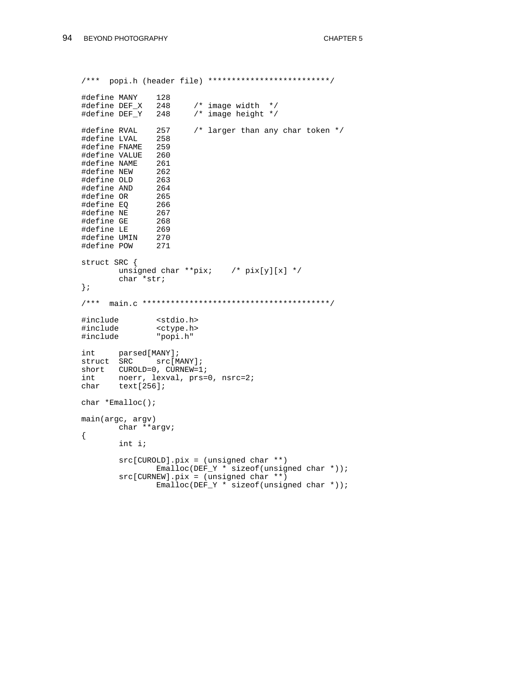```
/*** popi.h (header file) **************************/
#define MANY 128
#define DEF_X 248 /* image width */
#define DEF_Y 248 /* image height */
#define RVAL 257 /* larger than any char token */
#define LVAL 258
#define FNAME 259
#define VALUE 260
#define NAME 261
#define NEW 262
#define OLD 263<br>#define AND 264<br>#define OR 265
#define AND 264
#define OR 265
#define EQ 266
#define NE 267
#define GE 268
#define LE 269
#define UMIN 270
#define POW 271
struct SRC {
      unsigned char **pix; /* pix[y][x] */
       char *str;
};
/*** main.c ****************************************/
#include <stdio.h>
#include <ctype.h>
#include "popi.h"
int parsed[MANY];
struct SRC src[MANY];
short CUROLD=0, CURNEW=1;
int noerr, lexval, prs=0, nsrc=2;
char text[256];
char *Emalloc();
main(argc, argv)
      char **argv;
{
       int i;
       src[CUROLD].pix = (unsigned char **)Emalloc(DEF_Y * sizeof(unsigned char *));
        src[CURNEW].pix = (unsigned char **)
               Emalloc(DEF_Y * sizeof(unsigned char *));
```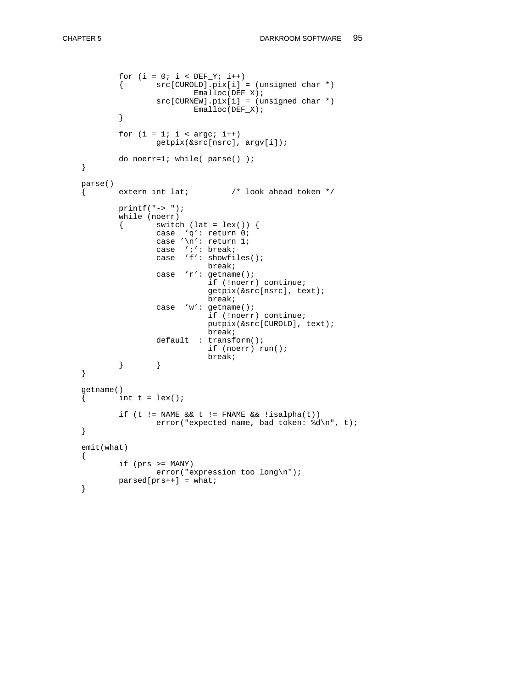```
for (i = 0; i < DEF_Y; i++){ src[CUROLD].pix[i] = (unsigned char *)
                        Emalloc(DEF_X);
                src[CURNEW].pix[i] = (unsigned char *)
                        Emalloc(DEF_X);
        }
        for (i = 1; i < argc; i++)getpix(&src[nsrc], argv[i]);
        do noerr=1; while( parse() );
}
parse()
{ extern int lat; /* look ahead token */
        printf("-> ");
        while (noerr)
        \{ switch (lat = lex()) \{case 'q': return 0;
                case '\n': return 1;
                case ';': break;
                case 'f': showfiles();
                          break;
                case 'r': getname();
                           if (!noerr) continue;
                           getpix(&src[nsrc], text);
                           break;
                case 'w': getname();
                           if (!noerr) continue;
                           putpix(&src[CUROLD], text);
                           break;
                default : transform();
                           if (noerr) run();
                           break;
        } }
}
getname()
        int t = \text{lex}();
        if (t := \texttt{NAME } \&\& t := \texttt{FNAME } \&\& \text{ is alpha}(t))error("expected name, bad token: %d\n", t);
}
emit(what)
{
        if (prs >= MANY)
                error("expression too long\n");
        parsed[prs++] = what;}
```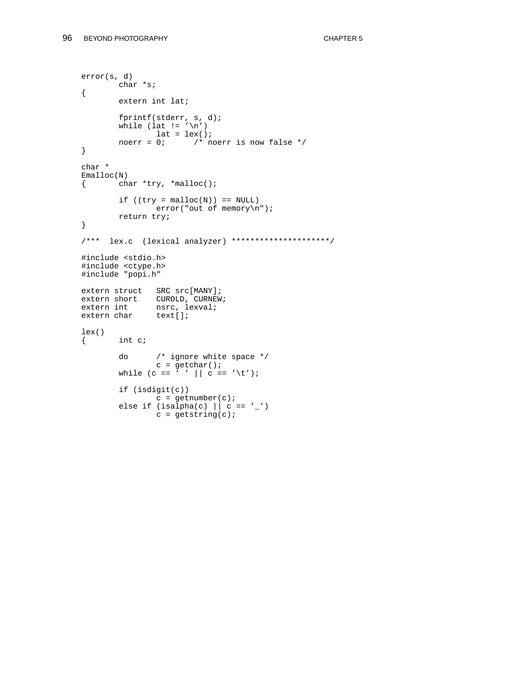```
error(s, d)
       char *s;
{
        extern int lat;
        fprintf(stderr, s, d);
        while (lat != ' \n\times )lat = lex();
        noerr = 0; \overrightarrow{ } /* noerr is now false */
}
char *
Emalloc(N)
{ char *try, *malloc();
        if ((try = <code>malloc(N)) == <code>NULL)</code>error("out of memory\n");
        return try;
}
/*** lex.c (lexical analyzer) *********************/
#include <stdio.h>
#include <ctype.h>
#include "popi.h"
extern struct SRC src[MANY];
extern short CUROLD, CURNEW;
extern int nsrc, lexval;
extern char text[];
lex()
{ int c;
        do /* ignore white space */
                c = getchar()while (c == ' ' || c == '\t');
        if (isdigit(c))
                c = getnumber(c);else if (isalpha(c) || c == '-'')c = getstring(c);
```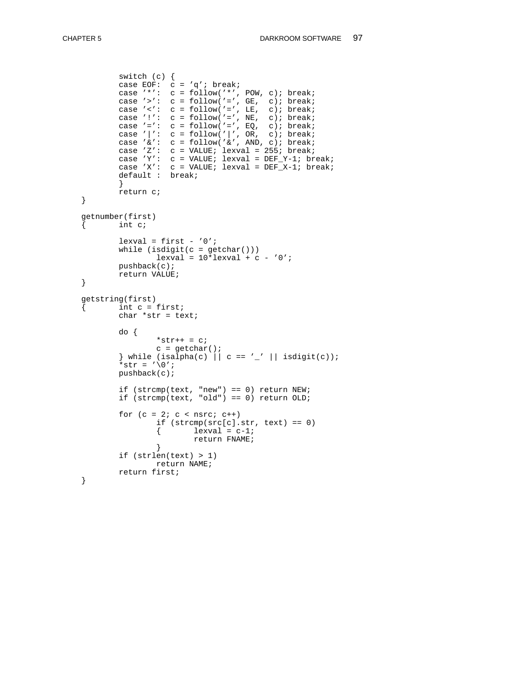```
switch (c) {
        case EOF: c = 'q'; break;
        case '*': c = follow('*', POW, c); break;
        case '>': c = follow('=', GE, c); break;case 's': c = follow('=', LE, c); break;case '!': c = follow('=', NE, c); break;case '=': c = follow('=', EQ, c); break;case '|': c = follow('|', OR, c); break;case '&': c = follow('&', AND, c); break;case 'Z': c = \text{VALUE: } \text{lexval} = 255; break;
        case 'Y': c = \text{VALUE: } lexval = DEF_Y-1: break:case 'X': c = \text{VALUE: } \text{lexval} = \text{DEF\_X-1: } \text{break};default : break;
        }
        return c;
}
getnumber(first)
{ int c;
        lexval = first - '0';
        while (\text{isdigit}(c = \text{qetchar}()))lexval = 10*lexval + c - '0';pushback(c);
        return VALUE;
}
getstring(first)
\{ int c = first;
        char *str = text;
        do {
                *str++ = cic = getchar()} while (isalpha(c) || c == '-' || isdigit(c));*str = \sqrt{0'i}pushback(c);
        if (strcmp(text, "new") == 0) return NEW;
        if (strcmp(text, "old") == 0) return OLD;
        for (c = 2; c < nsrc; c++)if (strcmp(src[c].str, text) == 0)<br>{<br> lexval = c-1;
                        lexval = c-1;return FNAME;
                 }
        if (strlen(text) > 1)
                return NAME;
        return first;
}
```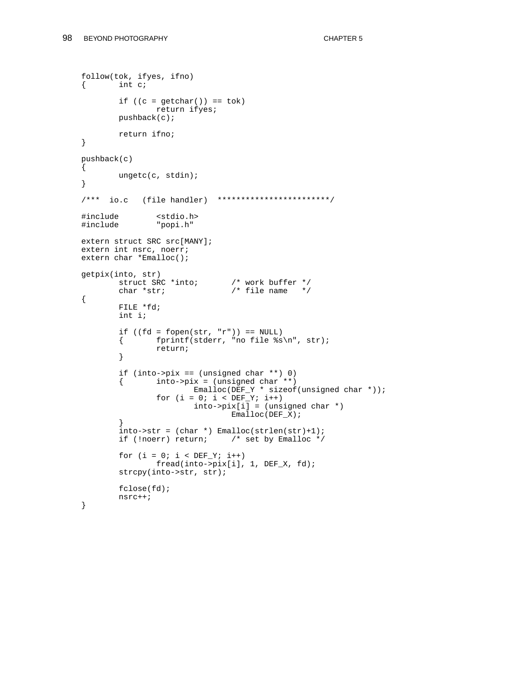```
follow(tok, ifyes, ifno)<br>{<br>int c;
       int c;
        if ((c = getchar()) == tok)return ifyes;
        pushback(c);
       return ifno;
}
pushback(c)
{
       ungetc(c, stdin);
}
/*** io.c (file handler) ************************/
#include <stdio.h>
#include "popi.h"
extern struct SRC src[MANY];
extern int nsrc, noerr;
extern char *Emalloc();
getpix(into, str)
        struct SRC *into; /* work buffer */
        char *str; /* file name */
{
       FILE *fd;
       int i;
        if ((fd = fopen(str, "r")) == NULL){ fprintf(stderr, "no file s\nright", str);
               return;
        }
        if (into->pix == (unsigned char **) 0)
        { into->pix = (unsigned char **)
                        Emalloc(DEF_Y * sizeof(unsigned char *));
                for (i = 0; i < DEF_Y; i++)into\text{-}pix[i] = (unsigned char *)Emalloc(DEF_X);
        }
        into \text{-} \text{-}str = (char *) \text{ Emalloc}(strlen(str) + 1);if (!noerr) return; /* set by Emalloc */
        for (i = 0; i < DEF_i; i++)fread(into->pix[i], 1, DEF_X, fd);
        strcpy(into->str, str);
       fclose(fd);
       nsrc++;
}
```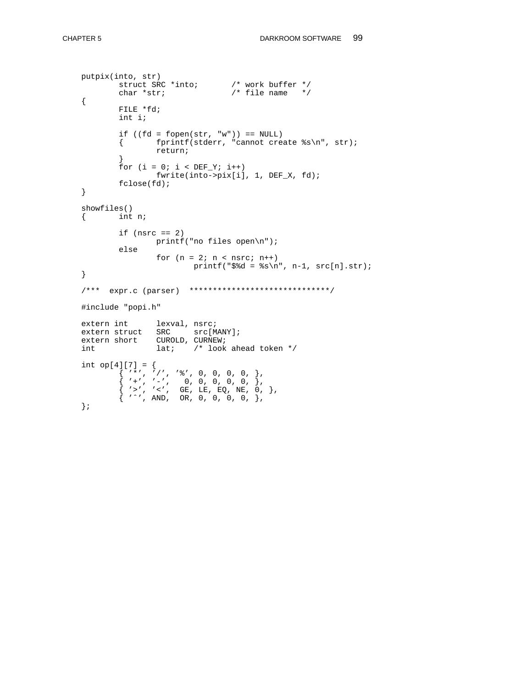```
putpix(into, str)
        struct SRC *into; /* work buffer */
        char *str; /* file name */
{
       FILE *fd;
       int i;
       if ((fd = fopen(str, "w")) == NULL){ fprintf(stderr, "cannot create %s\n", str);
               return;
       }
       for (i = 0; i < DEF_Y; i++)fwrite(into->pix[i], 1, DEF_X, fd);
       fclose(fd);
}
showfiles()
{ int n;
       if (nsrc == 2)printf("no files open\n");
       else
              for (n = 2; n < nsrc; n++)printf("$d = $s \n", n-1, src[n].str;
}
/*** expr.c (parser) ******************************/
#include "popi.h"
extern int lexval, nsrc;
extern struct SRC src[MANY];
extern short CUROLD, CURNEW;
int lat; /* look ahead token */
int op[4][7] = {
        \{ '*', '/', '%', 0, 0, 0, 0, },
        \{ '+', '-', 0, 0, 0, 0, 0, },
        \{ '>'', ''<', G E, LE, EQ, NE, 0, \},\{ '`', \text{ AND}, \text{ OR}, 0, 0, 0, 0, \}};
```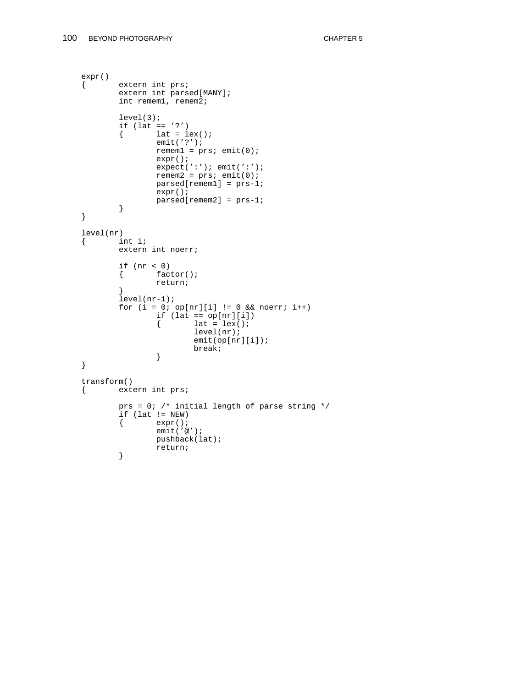```
expr()
        extern int prs;
        extern int parsed[MANY];
        int remem1, remem2;
        level(3);
        if (lat == '?')<br>{<br> \{ lat = le
                lat = \text{lex}();
                 emit('?');
                 remem1 = prs; emit(0);expr();
                 expect(':'); emit(':');
                 remem2 = prs; emit(0);parsed[remem1] = prs-1;
                 expr();
                 parsed[remem2] = prs-1;
        }
}
level(nr)
{ int iiextern int noerr;
        if (nr < 0){ factor();
                 return;
        }
        level(nr-1);
        for (i = 0; op[nr][i] := 0 && noerr; i++)if (lat == op[nr][i])<br>{ lat = lex();
                         lat = lex();
                         level(nr);
                          emit(op[nr][i]);
                         break;
                 }
}
transform()
{ extern int prs;
        prs = 0; /* initial length of parse string */
        if (lat != NEW)<br>{<br>\{ expr();
                 { expr();
                 emit('@');
                 pushback(lat);
                 return;
        }
```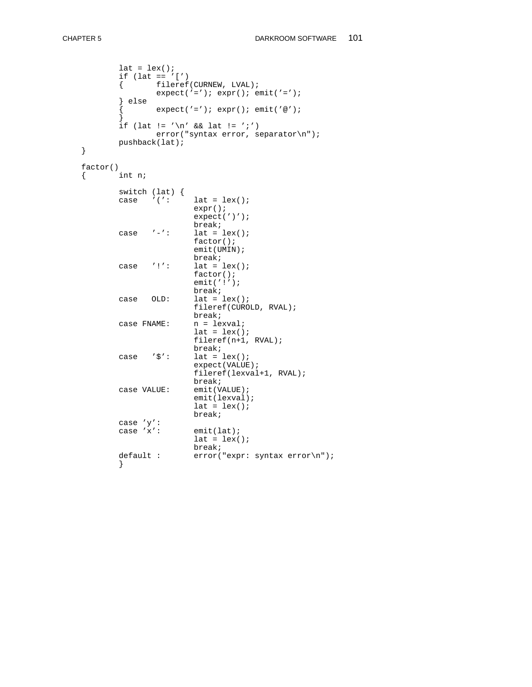}

```
lat = lex();
       if (lat == '('') { fileref
               fileref(CURNEW, LVAL);
                expect('='); expr(); emit('=');} else
               expect('='); expr(); emit('@');}
        if (lat != ' \n\times \& lat != ';')error("syntax error, separator\n");
       pushback(lat);
factor()
{ int n;
       switch (lat) {
       case '(': lat = lex();
                       expr();
                        expect(')');
                       break;
        case \prime - \prime: lat = lex();
                       factor();
                       emit(UMIN);
                       break;
       case '!': lat = lex();
                       factor();
                       emit('!);
                       break;
       case OLD: lat = lex();
                       fileref(CUROLD, RVAL);
                       break;
       case FNAME: n = lexval;
                       lat = lex();
                       fileref(n+1, RVAL);
                       break;
       case '\': lat = lex();
                        expect(VALUE);
                       fileref(lexval+1, RVAL);
                       break;
       case VALUE: emit(VALUE);
                        emit(lexval);
                       lat = lex();
                       break;
       case 'y':<br>case 'x':
                       emit(lat);
                        lat = lex();
                       break;
       default : error("expr: syntax error\n");
        }
```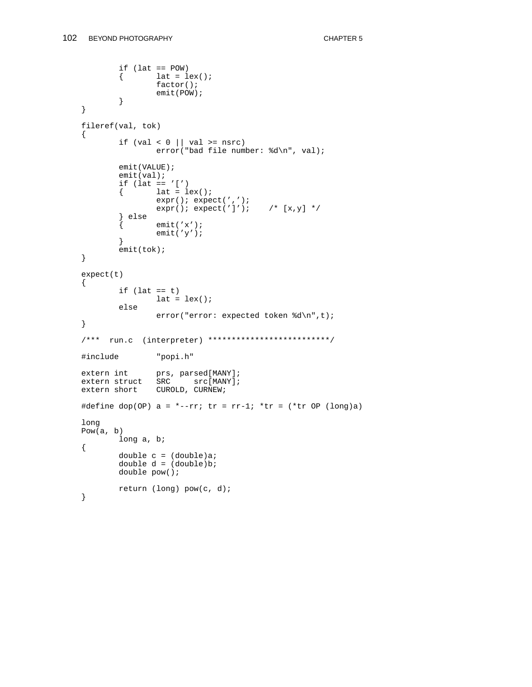```
if (lat == POW)<br>{ lat = 1
                lat = lex();
                factor();
                 emit(POW);
        }
}
fileref(val, tok)
{
         if (val < 0 \vert val >= nsrc)
                 error("bad file number: %d\n", val);
        emit(VALUE);
        emit(val);
        if (lat == '[''){ \det = \text{lex}();
                 expr(); expect(',');
                 expr(); expect(']'); /* [x,y] */
        } else
        \{ emit('x');
                 emit('y');
        }
        emit(tok);
}
expect(t)
{
        if (lat == t)lat = lex();
        else
                error("error: expected token %d\n",t);
}
/*** run.c (interpreter) **************************/
#include "popi.h"
extern int prs, parsed[MANY];
extern struct SRC src[MANY];<br>extern short CUROLD, CURNEW;
                CUROLD, CURNEW;
#define dop(OP) a = *--rr; tr = rr-1; *tr = (*tr OP (long)a)
long
Pow(a, b)long a, b;
{
        double c = (double)a;
        double d = (double)b;
        double pow();
        return (long) pow(c, d);
}
```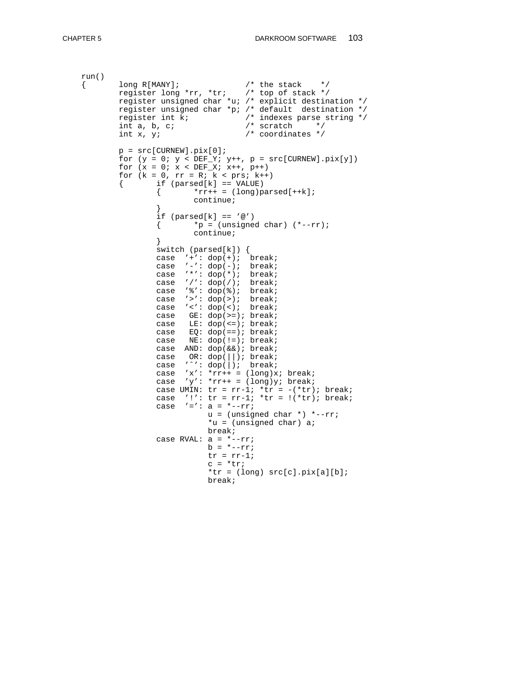```
run()
\{ long R[MANY]; \frac{1}{2} /* the stack */
        register long *rr, *tr; /* top of stack */
        register unsigned char *u; /* explicit destination */
        register unsigned char *p; /* default destination */<br>register unsigned char *p; /* default destination */
        register int k; /* indexes parse string */
        int a, b, c; \frac{1}{x} scratch \frac{x}{x}int x, y; \frac{1}{2} /* coordinates */
        p = src[CURNEW].pix[0];for (y = 0; y < DEF_Y; y++), p = src[CURNEW].pix[y])for (x = 0; x < DEF_X; x^{++}, p++)for (k = 0, rr = R; k < prs; k++)\{ if (parsed[k] == VALUE)\{ *rr++ = (\text{long}) parsed[++k];
                        continue;
                }
                if (pared[k] == '@'){p = (unsigned char) (*--rr);}continue;
                }
                switch (parsed[k]) \{case '+': dop(+); break;
                case '-': dop(-); break;
                case '*': dop(*); break;
                case '/': dop(/); break;
                case '%': dop(%); break;
                case '>': dop(>); break;
                case '<': dop(<); break;
                case GE: dop(>=); break;
                case LE: dop( <= ); break;
                case EQ: dop(==); break;case NE: dop(!=); break;
                case AND: dop(&&); break;
                case OR: dop(||); break;
                case '^': dop(|); break;
                case 'x': *rr++ = long)x; break;
                case 'y': *rr++ = (\text{long})y; break;
                case UMIN: tr = rr-1; *tr = -(*tr); break;case '!': tr = rr-1; *tr = !(*tr); break;case '=': a = *-rr;
                           u = (unsigned char *) * --rr;*u = (unsigned char) a;
                          break;
                case RVAL: a = *--rr;
                          b = *--rr;tr = rr-1;
                           c = *tr;*tr = long) src[c].pix[a][b];break;
```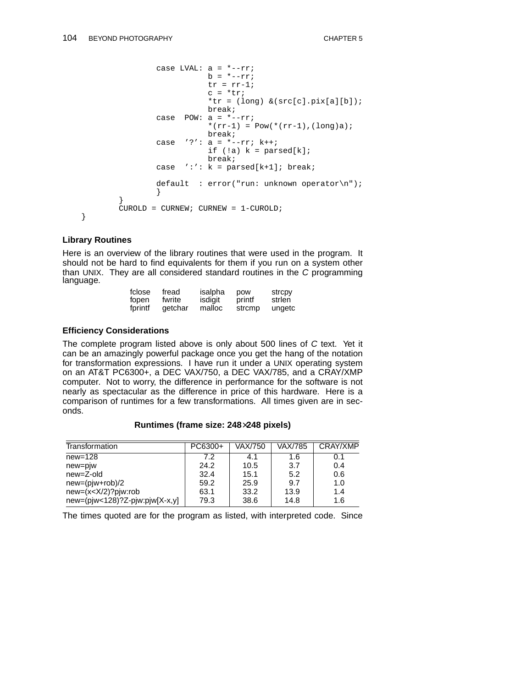```
case LVAL: a = *--rr;b = *--rr;tr = rr-1;
                   c = *tr;*tr = (long) \&(src[c].pix[a][b]);
                   break;
        case POW: a = *--rr;*(rr-1) = Pow(*(rr-1), (long)a);
                   break;
        case '?': a = *-rrr; k++;
                   if (!a) k = parsed[k];
                  break;
        case ':': k = parsed[k+1]; break;
        default : error("run: unknown operator\n");
        }
}
CUROLD = CURNEW; CURNEW = 1-CUROLD;
```
## **Library Routines**

}

Here is an overview of the library routines that were used in the program. It should not be hard to find equivalents for them if you run on a system other than UNIX. They are all considered standard routines in the <sup>C</sup> programming language.

| fclose  | fread   | isalpha | pow    | strcpy |
|---------|---------|---------|--------|--------|
| fopen   | fwrite  | isdigit | printf | strlen |
| fprintf | detchar | malloc  | strcmp | ungetc |

#### **Efficiency Considerations**

The complete program listed above is only about 500 lines of C text. Yet it can be an amazingly powerful package once you get the hang of the notation for transformation expressions. I have run it under a UNIX operating system on an AT&T PC6300+, a DEC VAX/750, a DEC VAX/785, and a CRAY/XMP computer. Not to worry, the difference in performance for the software is not nearly as spectacular as the difference in price of this hardware. Here is a comparison of runtimes for a few transformations. All times given are in seconds.

#### **Runtimes (frame size: 248**×**248 pixels)**

| Transformation                   | PC6300+ | <b>VAX/750</b> | <b>VAX/785</b> | CRAY/XMP |
|----------------------------------|---------|----------------|----------------|----------|
| $new = 128$                      | 7.2     | 4.1            | 1.6            | 0.1      |
| new=pjw                          | 24.2    | 10.5           | 3.7            | 0.4      |
| new=Z-old                        | 32.4    | 15.1           | 5.2            | 0.6      |
| $new=(piw+rob)/2$                | 59.2    | 25.9           | 9.7            | 1.0      |
| $new=(x< X/2)?$ pjw:rob          | 63.1    | 33.2           | 13.9           | 1.4      |
| $new=(pjwc128)?Z-pjw:piW[X-x,y]$ | 79.3    | 38.6           | 14.8           | 1.6      |

The times quoted are for the program as listed, with interpreted code. Since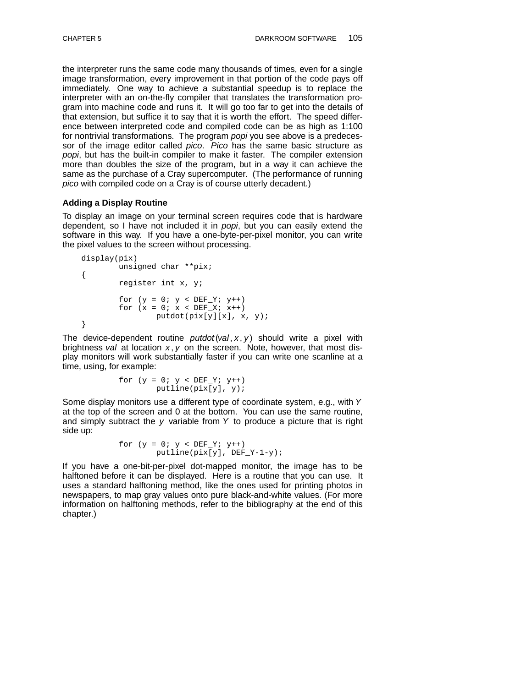the interpreter runs the same code many thousands of times, even for a single image transformation, every improvement in that portion of the code pays off immediately. One way to achieve a substantial speedup is to replace the interpreter with an on-the-fly compiler that translates the transformation program into machine code and runs it. It will go too far to get into the details of that extension, but suffice it to say that it is worth the effort. The speed difference between interpreted code and compiled code can be as high as 1:100 for nontrivial transformations. The program popi you see above is a predecessor of the image editor called *pico. Pico* has the same basic structure as popi, but has the built-in compiler to make it faster. The compiler extension more than doubles the size of the program, but in a way it can achieve the same as the purchase of a Cray supercomputer. (The performance of running pico with compiled code on a Cray is of course utterly decadent.)

#### **Adding a Display Routine**

To display an image on your terminal screen requires code that is hardware dependent, so I have not included it in popi, but you can easily extend the software in this way. If you have a one-byte-per-pixel monitor, you can write the pixel values to the screen without processing.

```
display(pix)
        unsigned char **pix;
{
        register int x, y;
        for (y = 0; y < DEF_Y; y++)for (x = 0; x < DEF_X; x++)putdot(pix[y][x], x, y);}
```
The device-dependent routine  $putdot(val, x, y)$  should write a pixel with brightness val at location  $x, y$  on the screen. Note, however, that most display monitors will work substantially faster if you can write one scanline at a time, using, for example:

```
for (y = 0; y < DEF_Y; y++)putline(pix[y], y);
```
Some display monitors use a different type of coordinate system, e.g., with Y at the top of the screen and 0 at the bottom. You can use the same routine, and simply subtract the  $y$  variable from Y to produce a picture that is right side up:

```
for (y = 0; y < DEF_Y; y++)putline(pix[y], DEF_Y-1-y);
```
If you have a one-bit-per-pixel dot-mapped monitor, the image has to be halftoned before it can be displayed. Here is a routine that you can use. It uses a standard halftoning method, like the ones used for printing photos in newspapers, to map gray values onto pure black-and-white values. (For more information on halftoning methods, refer to the bibliography at the end of this chapter.)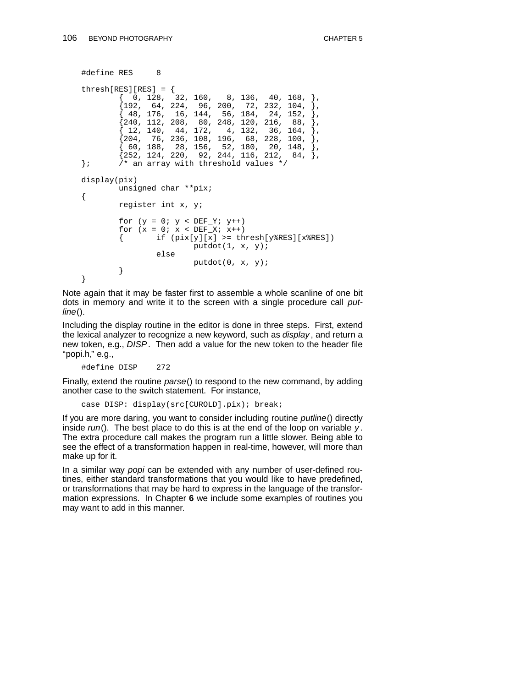```
#define RES 8
threshold[RES][RES] =\{ 0, 128, 32, 160, 8, 136, 40, 168, \}{192, 64, 224, 96, 200, 72, 232, 104, }\{48, 176, 16, 144, 56, 184, 24, 152, \}\{240, 112, 208, 80, 248, 120, 216, 88, \}\{ 12, 140, 44, 172, 4, 132, 36, 164, \}\{204, 76, 236, 108, 196, 68, 228, 100, \}\{60, 188, 28, 156, 52, 180, 20, 148, \}{252, 124, 220, 92, 244, 116, 212, 84, }}; /* an array with threshold values */
display(pix)
       unsigned char **pix;
{
       register int x, y;
       for (y = 0; y < DEF_Y; y++)for (x = 0; x < DEF_X; x++){ if (pix[y][x] >= thresh[y$RES][x$RES])putdot(1, x, y);else
                      putdot(0, x, y);}
}
```
Note again that it may be faster first to assemble a whole scanline of one bit dots in memory and write it to the screen with a single procedure call putline().

Including the display routine in the editor is done in three steps. First, extend the lexical analyzer to recognize a new keyword, such as *display*, and return a new token, e.g., DISP. Then add a value for the new token to the header file ''popi.h,'' e.g.,

#define DISP 272

Finally, extend the routine parse() to respond to the new command, by adding another case to the switch statement. For instance,

```
case DISP: display(src[CUROLD].pix); break;
```
If you are more daring, you want to consider including routine putline() directly inside  $run()$ . The best place to do this is at the end of the loop on variable  $y$ . The extra procedure call makes the program run a little slower. Being able to see the effect of a transformation happen in real-time, however, will more than make up for it.

In a similar way popi can be extended with any number of user-defined routines, either standard transformations that you would like to have predefined, or transformations that may be hard to express in the language of the transformation expressions. In Chapter **6** we include some examples of routines you may want to add in this manner.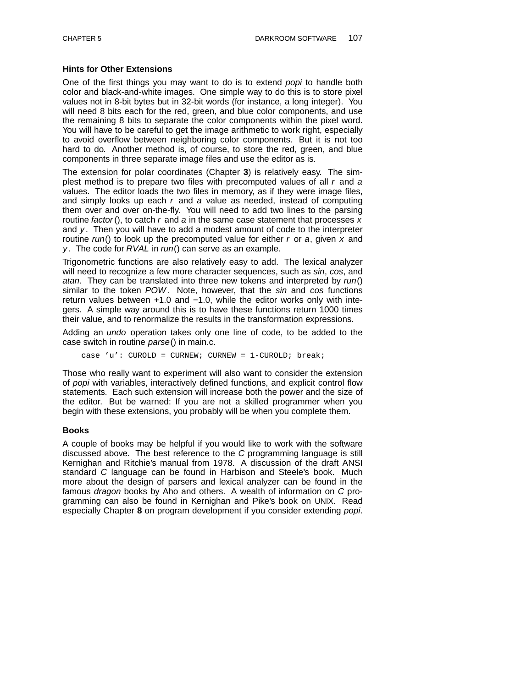#### **Hints for Other Extensions**

One of the first things you may want to do is to extend popi to handle both color and black-and-white images. One simple way to do this is to store pixel values not in 8-bit bytes but in 32-bit words (for instance, a long integer). You will need 8 bits each for the red, green, and blue color components, and use the remaining 8 bits to separate the color components within the pixel word. You will have to be careful to get the image arithmetic to work right, especially to avoid overflow between neighboring color components. But it is not too hard to do. Another method is, of course, to store the red, green, and blue components in three separate image files and use the editor as is.

The extension for polar coordinates (Chapter **3**) is relatively easy. The simplest method is to prepare two files with precomputed values of all  $r$  and  $a$ values. The editor loads the two files in memory, as if they were image files, and simply looks up each  $r$  and a value as needed, instead of computing them over and over on-the-fly. You will need to add two lines to the parsing routine factor(), to catch  $r$  and  $a$  in the same case statement that processes  $x$ and y. Then you will have to add a modest amount of code to the interpreter routine  $run()$  to look up the precomputed value for either  $r$  or  $a$ , given  $x$  and y. The code for  $RVAL$  in  $run()$  can serve as an example.

Trigonometric functions are also relatively easy to add. The lexical analyzer will need to recognize a few more character sequences, such as sin, cos, and atan. They can be translated into three new tokens and interpreted by run() similar to the token POW. Note, however, that the sin and cos functions return values between +1.0 and −1.0, while the editor works only with integers. A simple way around this is to have these functions return 1000 times their value, and to renormalize the results in the transformation expressions.

Adding an undo operation takes only one line of code, to be added to the case switch in routine parse() in main.c.

case 'u': CUROLD = CURNEW; CURNEW =  $1$ -CUROLD; break;

Those who really want to experiment will also want to consider the extension of popi with variables, interactively defined functions, and explicit control flow statements. Each such extension will increase both the power and the size of the editor. But be warned: If you are not a skilled programmer when you begin with these extensions, you probably will be when you complete them.

#### **Books**

A couple of books may be helpful if you would like to work with the software discussed above. The best reference to the C programming language is still Kernighan and Ritchie's manual from 1978. A discussion of the draft ANSI standard C language can be found in Harbison and Steele's book. Much more about the design of parsers and lexical analyzer can be found in the famous dragon books by Aho and others. A wealth of information on C programming can also be found in Kernighan and Pike's book on UNIX. Read especially Chapter 8 on program development if you consider extending popi.